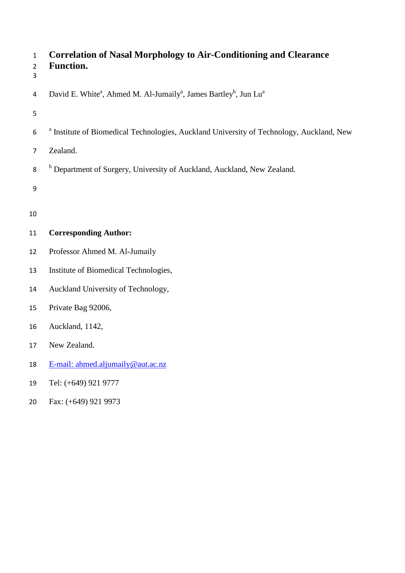| $\mathbf{1}$<br>$\overline{2}$<br>3 | <b>Correlation of Nasal Morphology to Air-Conditioning and Clearance</b><br><b>Function.</b>                      |  |
|-------------------------------------|-------------------------------------------------------------------------------------------------------------------|--|
| 4                                   | David E. White <sup>a</sup> , Ahmed M. Al-Jumaily <sup>a</sup> , James Bartley <sup>b</sup> , Jun Lu <sup>a</sup> |  |
| 5                                   |                                                                                                                   |  |
| 6                                   | <sup>a</sup> Institute of Biomedical Technologies, Auckland University of Technology, Auckland, New               |  |
| $\overline{7}$                      | Zealand.                                                                                                          |  |
| 8                                   | <sup>b</sup> Department of Surgery, University of Auckland, Auckland, New Zealand.                                |  |
| 9                                   |                                                                                                                   |  |
| 10                                  |                                                                                                                   |  |
| 11                                  | <b>Corresponding Author:</b>                                                                                      |  |
| 12                                  | Professor Ahmed M. Al-Jumaily                                                                                     |  |
| 13                                  | Institute of Biomedical Technologies,                                                                             |  |
| 14                                  | Auckland University of Technology,                                                                                |  |
| 15                                  | Private Bag 92006,                                                                                                |  |
| 16                                  | Auckland, 1142,                                                                                                   |  |
| 17                                  | New Zealand.                                                                                                      |  |
| 18                                  | E-mail: ahmed.aljumaily@aut.ac.nz                                                                                 |  |
| 19                                  | Tel: (+649) 921 9777                                                                                              |  |

Fax: (+649) 921 9973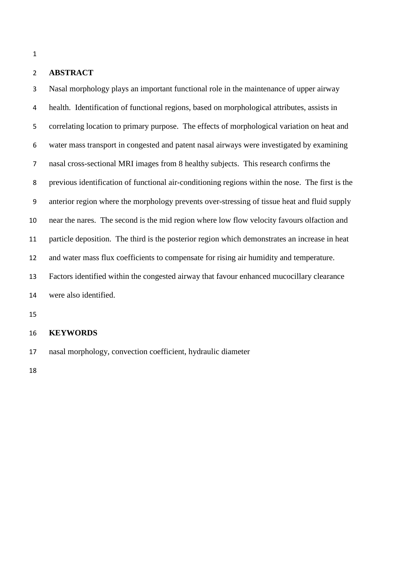## **ABSTRACT**

 Nasal morphology plays an important functional role in the maintenance of upper airway health. Identification of functional regions, based on morphological attributes, assists in correlating location to primary purpose. The effects of morphological variation on heat and water mass transport in congested and patent nasal airways were investigated by examining nasal cross-sectional MRI images from 8 healthy subjects. This research confirms the previous identification of functional air-conditioning regions within the nose. The first is the anterior region where the morphology prevents over-stressing of tissue heat and fluid supply near the nares. The second is the mid region where low flow velocity favours olfaction and particle deposition. The third is the posterior region which demonstrates an increase in heat and water mass flux coefficients to compensate for rising air humidity and temperature. Factors identified within the congested airway that favour enhanced mucocillary clearance were also identified.

# **KEYWORDS**

nasal morphology, convection coefficient, hydraulic diameter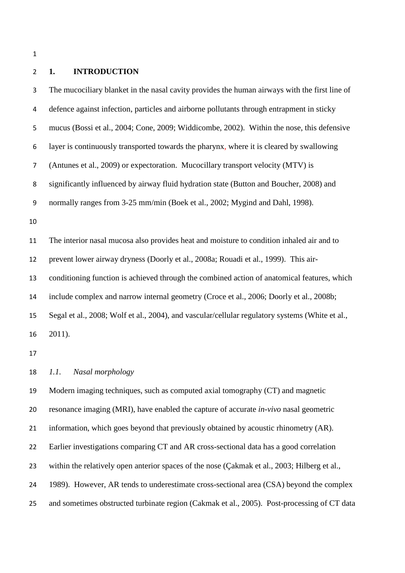# **1. INTRODUCTION**

 The mucociliary blanket in the nasal cavity provides the human airways with the first line of defence against infection, particles and airborne pollutants through entrapment in sticky mucus (Bossi et al., 2004; Cone, 2009; Widdicombe, 2002). Within the nose, this defensive layer is continuously transported towards the pharynx, where it is cleared by swallowing (Antunes et al., 2009) or expectoration. Mucocillary transport velocity (MTV) is significantly influenced by airway fluid hydration state (Button and Boucher, 2008) and normally ranges from 3-25 mm/min (Boek et al., 2002; Mygind and Dahl, 1998). The interior nasal mucosa also provides heat and moisture to condition inhaled air and to prevent lower airway dryness (Doorly et al., 2008a; Rouadi et al., 1999). This air- conditioning function is achieved through the combined action of anatomical features, which include complex and narrow internal geometry (Croce et al., 2006; Doorly et al., 2008b; Segal et al., 2008; Wolf et al., 2004), and vascular/cellular regulatory systems (White et al., 2011). *1.1. Nasal morphology* Modern imaging techniques, such as computed axial tomography (CT) and magnetic resonance imaging (MRI), have enabled the capture of accurate *in-vivo* nasal geometric information, which goes beyond that previously obtained by acoustic rhinometry (AR).

Earlier investigations comparing CT and AR cross-sectional data has a good correlation

23 within the relatively open anterior spaces of the nose (Cakmak et al., 2003; Hilberg et al.,

1989). However, AR tends to underestimate cross-sectional area (CSA) beyond the complex

and sometimes obstructed turbinate region (Cakmak et al., 2005). Post-processing of CT data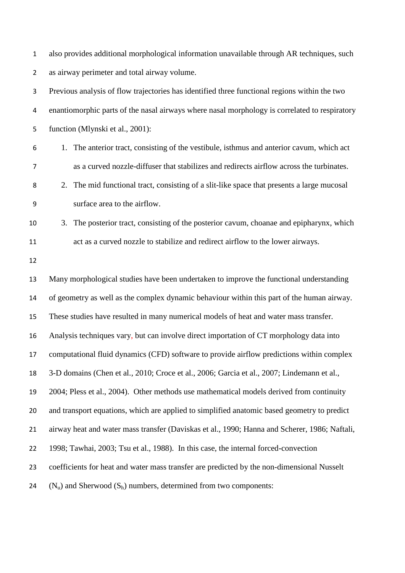also provides additional morphological information unavailable through AR techniques, such as airway perimeter and total airway volume.

 Previous analysis of flow trajectories has identified three functional regions within the two enantiomorphic parts of the nasal airways where nasal morphology is correlated to respiratory function (Mlynski et al., 2001): 1. The anterior tract, consisting of the vestibule, isthmus and anterior cavum, which act as a curved nozzle-diffuser that stabilizes and redirects airflow across the turbinates. 2. The mid functional tract, consisting of a slit-like space that presents a large mucosal surface area to the airflow. 3. The posterior tract, consisting of the posterior cavum, choanae and epipharynx, which act as a curved nozzle to stabilize and redirect airflow to the lower airways. Many morphological studies have been undertaken to improve the functional understanding of geometry as well as the complex dynamic behaviour within this part of the human airway. These studies have resulted in many numerical models of heat and water mass transfer. Analysis techniques vary, but can involve direct importation of CT morphology data into computational fluid dynamics (CFD) software to provide airflow predictions within complex 3-D domains (Chen et al., 2010; Croce et al., 2006; Garcia et al., 2007; Lindemann et al., 2004; Pless et al., 2004). Other methods use mathematical models derived from continuity and transport equations, which are applied to simplified anatomic based geometry to predict airway heat and water mass transfer (Daviskas et al., 1990; Hanna and Scherer, 1986; Naftali, 1998; Tawhai, 2003; Tsu et al., 1988). In this case, the internal forced-convection coefficients for heat and water mass transfer are predicted by the non-dimensional Nusselt 24 ( $N_n$ ) and Sherwood ( $S_h$ ) numbers, determined from two components:

- 
-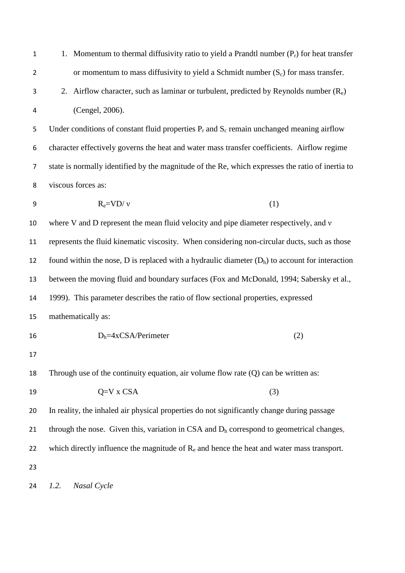| $\mathbf{1}$   | 1. Momentum to thermal diffusivity ratio to yield a Prandtl number $(P_r)$ for heat transfer      |  |  |
|----------------|---------------------------------------------------------------------------------------------------|--|--|
| $\overline{2}$ | or momentum to mass diffusivity to yield a Schmidt number $(S_c)$ for mass transfer.              |  |  |
| 3              | 2. Airflow character, such as laminar or turbulent, predicted by Reynolds number $(R_e)$          |  |  |
| 4              | (Cengel, 2006).                                                                                   |  |  |
| 5              | Under conditions of constant fluid properties $P_r$ and $S_c$ remain unchanged meaning airflow    |  |  |
| 6              | character effectively governs the heat and water mass transfer coefficients. Airflow regime       |  |  |
| $\overline{7}$ | state is normally identified by the magnitude of the Re, which expresses the ratio of inertia to  |  |  |
| 8              | viscous forces as:                                                                                |  |  |
| 9              | $R_e=VD/v$<br>(1)                                                                                 |  |  |
| 10             | where V and D represent the mean fluid velocity and pipe diameter respectively, and v             |  |  |
| 11             | represents the fluid kinematic viscosity. When considering non-circular ducts, such as those      |  |  |
| 12             | found within the nose, D is replaced with a hydraulic diameter $(D_h)$ to account for interaction |  |  |
| 13             | between the moving fluid and boundary surfaces (Fox and McDonald, 1994; Sabersky et al.,          |  |  |
| 14             | 1999). This parameter describes the ratio of flow sectional properties, expressed                 |  |  |
| 15             | mathematically as:                                                                                |  |  |
| 16             | $D_h = 4xCSA/Perimeter$<br>(2)                                                                    |  |  |
| 17             |                                                                                                   |  |  |
| 18             | Through use of the continuity equation, air volume flow rate $(Q)$ can be written as:             |  |  |
| 19             | $Q=V X CSA$<br>(3)                                                                                |  |  |
| 20             | In reality, the inhaled air physical properties do not significantly change during passage        |  |  |
| 21             | through the nose. Given this, variation in CSA and $D_h$ correspond to geometrical changes,       |  |  |
| 22             | which directly influence the magnitude of $R_e$ and hence the heat and water mass transport.      |  |  |
| 23             |                                                                                                   |  |  |
| 24             | 1.2.<br>Nasal Cycle                                                                               |  |  |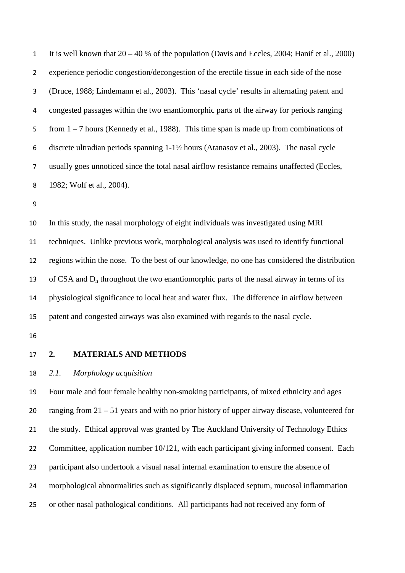| $\mathbf{1}$   | It is well known that $20 - 40$ % of the population (Davis and Eccles, 2004; Hanif et al., 2000) |
|----------------|--------------------------------------------------------------------------------------------------|
| $\overline{2}$ | experience periodic congestion/decongestion of the erectile tissue in each side of the nose      |
| 3              | (Druce, 1988; Lindemann et al., 2003). This 'nasal cycle' results in alternating patent and      |
| 4              | congested passages within the two enantiomorphic parts of the airway for periods ranging         |
| 5              | from $1 - 7$ hours (Kennedy et al., 1988). This time span is made up from combinations of        |
| 6              | discrete ultradian periods spanning 1-1½ hours (Atanasov et al., 2003). The nasal cycle          |
| $\overline{7}$ | usually goes unnoticed since the total nasal airflow resistance remains unaffected (Eccles,      |
| 8              | 1982; Wolf et al., 2004).                                                                        |
| 9              |                                                                                                  |
| 10             | In this study, the nasal morphology of eight individuals was investigated using MRI              |
|                |                                                                                                  |

 techniques. Unlike previous work, morphological analysis was used to identify functional regions within the nose. To the best of our knowledge, no one has considered the distribution 13 of CSA and  $D_h$  throughout the two enantiomorphic parts of the nasal airway in terms of its physiological significance to local heat and water flux. The difference in airflow between patent and congested airways was also examined with regards to the nasal cycle.

# **2. MATERIALS AND METHODS**

### *2.1. Morphology acquisition*

 Four male and four female healthy non-smoking participants, of mixed ethnicity and ages ranging from 21 – 51 years and with no prior history of upper airway disease, volunteered for the study. Ethical approval was granted by The Auckland University of Technology Ethics 22 Committee, application number 10/121, with each participant giving informed consent. Each participant also undertook a visual nasal internal examination to ensure the absence of morphological abnormalities such as significantly displaced septum, mucosal inflammation or other nasal pathological conditions. All participants had not received any form of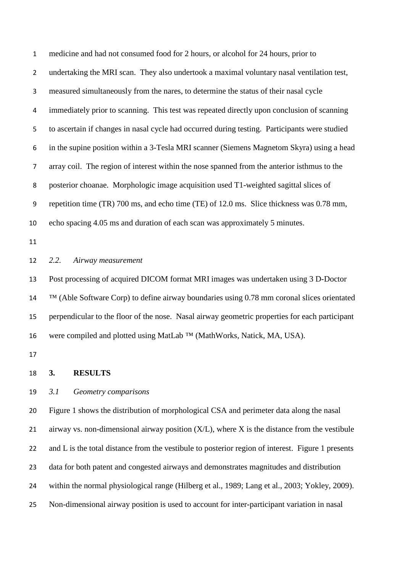medicine and had not consumed food for 2 hours, or alcohol for 24 hours, prior to undertaking the MRI scan. They also undertook a maximal voluntary nasal ventilation test, measured simultaneously from the nares, to determine the status of their nasal cycle immediately prior to scanning. This test was repeated directly upon conclusion of scanning to ascertain if changes in nasal cycle had occurred during testing. Participants were studied in the supine position within a 3-Tesla MRI scanner (Siemens Magnetom Skyra) using a head array coil. The region of interest within the nose spanned from the anterior isthmus to the posterior choanae. Morphologic image acquisition used T1-weighted sagittal slices of repetition time (TR) 700 ms, and echo time (TE) of 12.0 ms. Slice thickness was 0.78 mm, echo spacing 4.05 ms and duration of each scan was approximately 5 minutes. *2.2. Airway measurement* Post processing of acquired DICOM format MRI images was undertaken using 3 D-Doctor <sup>TM</sup> (Able Software Corp) to define airway boundaries using 0.78 mm coronal slices orientated perpendicular to the floor of the nose. Nasal airway geometric properties for each participant

were compiled and plotted using MatLab ™ (MathWorks, Natick, MA, USA).

| 18 | J. | <b>RESULTS</b> |
|----|----|----------------|
|    |    |                |

# *3.1 Geometry comparisons*

 Figure 1 shows the distribution of morphological CSA and perimeter data along the nasal 21 airway vs. non-dimensional airway position  $(X/L)$ , where X is the distance from the vestibule 22 and L is the total distance from the vestibule to posterior region of interest. Figure 1 presents data for both patent and congested airways and demonstrates magnitudes and distribution within the normal physiological range (Hilberg et al., 1989; Lang et al., 2003; Yokley, 2009). Non-dimensional airway position is used to account for inter-participant variation in nasal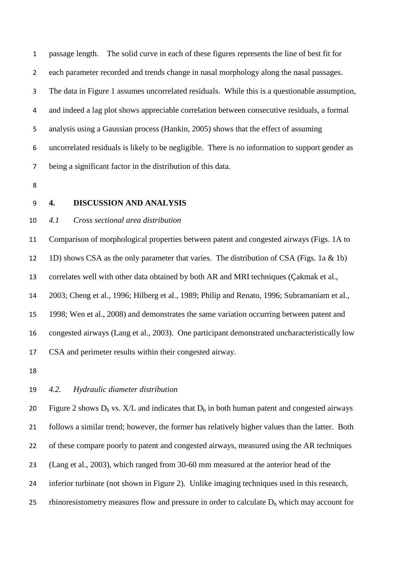passage length. The solid curve in each of these figures represents the line of best fit for each parameter recorded and trends change in nasal morphology along the nasal passages. The data in Figure 1 assumes uncorrelated residuals. While this is a questionable assumption, and indeed a lag plot shows appreciable correlation between consecutive residuals, a formal analysis using a Gaussian process (Hankin, 2005) shows that the effect of assuming uncorrelated residuals is likely to be negligible. There is no information to support gender as being a significant factor in the distribution of this data.

- 
- 

# **4. DISCUSSION AND ANALYSIS**

### *4.1 Cross sectional area distribution*

 Comparison of morphological properties between patent and congested airways (Figs. 1A to 1D) shows CSA as the only parameter that varies. The distribution of CSA (Figs. 1a & 1b) correlates well with other data obtained by both AR and MRI techniques (Çakmak et al., 2003; Cheng et al., 1996; Hilberg et al., 1989; Philip and Renato, 1996; Subramaniam et al., 1998; Wen et al., 2008) and demonstrates the same variation occurring between patent and congested airways (Lang et al., 2003). One participant demonstrated uncharacteristically low CSA and perimeter results within their congested airway.

#### *4.2. Hydraulic diameter distribution*

20 Figure 2 shows  $D_h$  vs. X/L and indicates that  $D_h$  in both human patent and congested airways follows a similar trend; however, the former has relatively higher values than the latter. Both of these compare poorly to patent and congested airways, measured using the AR techniques (Lang et al., 2003), which ranged from 30-60 mm measured at the anterior head of the inferior turbinate (not shown in Figure 2). Unlike imaging techniques used in this research, 25 rhinoresistometry measures flow and pressure in order to calculate  $D<sub>h</sub>$  which may account for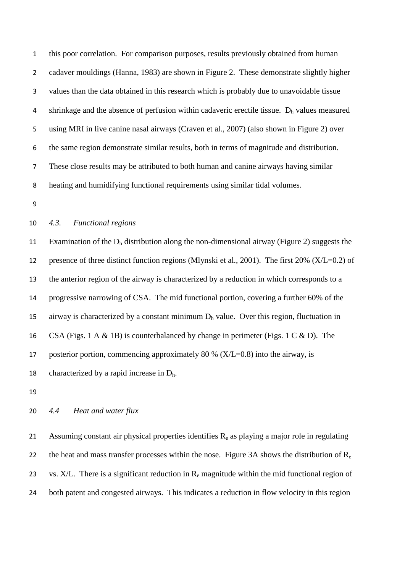this poor correlation. For comparison purposes, results previously obtained from human cadaver mouldings (Hanna, 1983) are shown in Figure 2. These demonstrate slightly higher values than the data obtained in this research which is probably due to unavoidable tissue 4 shrinkage and the absence of perfusion within cadaveric erectile tissue.  $D_h$  values measured using MRI in live canine nasal airways (Craven et al., 2007) (also shown in Figure 2) over the same region demonstrate similar results, both in terms of magnitude and distribution. These close results may be attributed to both human and canine airways having similar heating and humidifying functional requirements using similar tidal volumes.

# *4.3. Functional regions*

11 Examination of the  $D_h$  distribution along the non-dimensional airway (Figure 2) suggests the presence of three distinct function regions (Mlynski et al., 2001). The first 20% (X/L=0.2) of the anterior region of the airway is characterized by a reduction in which corresponds to a progressive narrowing of CSA. The mid functional portion, covering a further 60% of the 15 airway is characterized by a constant minimum  $D_h$  value. Over this region, fluctuation in CSA (Figs. 1 A & 1B) is counterbalanced by change in perimeter (Figs. 1 C & D). The posterior portion, commencing approximately 80 % (X/L=0.8) into the airway, is 18 characterized by a rapid increase in  $D_h$ .

### *4.4 Heat and water flux*

21 Assuming constant air physical properties identifies  $R_e$  as playing a major role in regulating 22 the heat and mass transfer processes within the nose. Figure 3A shows the distribution of  $R_e$ 23 vs.  $X/L$ . There is a significant reduction in  $R_e$  magnitude within the mid functional region of both patent and congested airways. This indicates a reduction in flow velocity in this region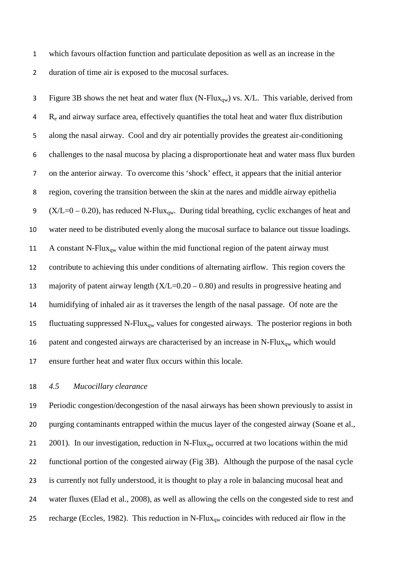which favours olfaction function and particulate deposition as well as an increase in the duration of time air is exposed to the mucosal surfaces.

3 Figure 3B shows the net heat and water flux (N-Flux<sub>qw</sub>) vs.  $X/L$ . This variable, derived from 4 R<sub>e</sub> and airway surface area, effectively quantifies the total heat and water flux distribution along the nasal airway. Cool and dry air potentially provides the greatest air-conditioning challenges to the nasal mucosa by placing a disproportionate heat and water mass flux burden on the anterior airway. To overcome this 'shock' effect, it appears that the initial anterior region, covering the transition between the skin at the nares and middle airway epithelia 9 (X/L=0 – 0.20), has reduced N-Flux<sub>qw</sub>. During tidal breathing, cyclic exchanges of heat and water need to be distributed evenly along the mucosal surface to balance out tissue loadings. 11 A constant N-Flux<sub>qw</sub> value within the mid functional region of the patent airway must contribute to achieving this under conditions of alternating airflow. This region covers the 13 majority of patent airway length  $(X/L=0.20 - 0.80)$  and results in progressive heating and humidifying of inhaled air as it traverses the length of the nasal passage. Of note are the 15 fluctuating suppressed N-Flux<sub>qw</sub> values for congested airways. The posterior regions in both 16 patent and congested airways are characterised by an increase in  $N$ -Flux<sub>qw</sub> which would ensure further heat and water flux occurs within this locale.

# *4.5 Mucocillary clearance*

 Periodic congestion/decongestion of the nasal airways has been shown previously to assist in purging contaminants entrapped within the mucus layer of the congested airway (Soane et al., 21 2001). In our investigation, reduction in N-Flux<sub>qw</sub> occurred at two locations within the mid functional portion of the congested airway (Fig 3B). Although the purpose of the nasal cycle is currently not fully understood, it is thought to play a role in balancing mucosal heat and water fluxes (Elad et al., 2008), as well as allowing the cells on the congested side to rest and 25 recharge (Eccles, 1982). This reduction in N-Flux<sub>ow</sub> coincides with reduced air flow in the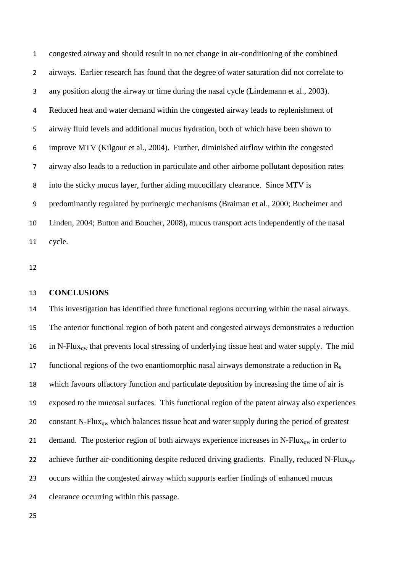congested airway and should result in no net change in air-conditioning of the combined airways. Earlier research has found that the degree of water saturation did not correlate to any position along the airway or time during the nasal cycle (Lindemann et al., 2003). Reduced heat and water demand within the congested airway leads to replenishment of airway fluid levels and additional mucus hydration, both of which have been shown to improve MTV (Kilgour et al., 2004). Further, diminished airflow within the congested airway also leads to a reduction in particulate and other airborne pollutant deposition rates into the sticky mucus layer, further aiding mucocillary clearance. Since MTV is predominantly regulated by purinergic mechanisms (Braiman et al., 2000; Bucheimer and Linden, 2004; Button and Boucher, 2008), mucus transport acts independently of the nasal cycle.

#### **CONCLUSIONS**

 This investigation has identified three functional regions occurring within the nasal airways. The anterior functional region of both patent and congested airways demonstrates a reduction 16 in N-Flux<sub>ow</sub> that prevents local stressing of underlying tissue heat and water supply. The mid 17 functional regions of the two enantiomorphic nasal airways demonstrate a reduction in  $R_e$  which favours olfactory function and particulate deposition by increasing the time of air is exposed to the mucosal surfaces. This functional region of the patent airway also experiences 20 constant N-Flux<sub>qw</sub> which balances tissue heat and water supply during the period of greatest 21 demand. The posterior region of both airways experience increases in N-Flux<sub>aw</sub> in order to 22 achieve further air-conditioning despite reduced driving gradients. Finally, reduced N-Flux<sub>ow</sub> occurs within the congested airway which supports earlier findings of enhanced mucus clearance occurring within this passage.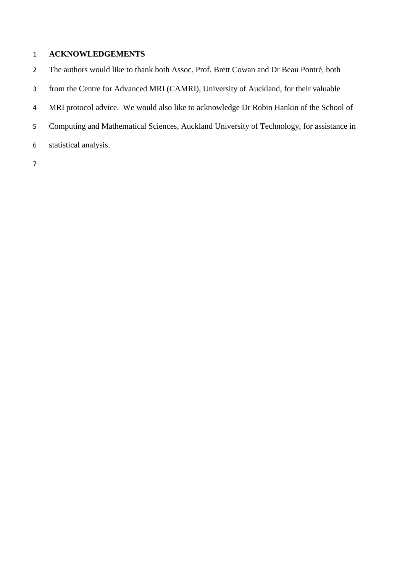# **ACKNOWLEDGEMENTS**

The authors would like to thank both Assoc. Prof. Brett Cowan and Dr Beau Pontré, both

- from the Centre for Advanced MRI (CAMRI), University of Auckland, for their valuable
- MRI protocol advice. We would also like to acknowledge Dr Robin Hankin of the School of
- Computing and Mathematical Sciences, Auckland University of Technology, for assistance in
- statistical analysis.
-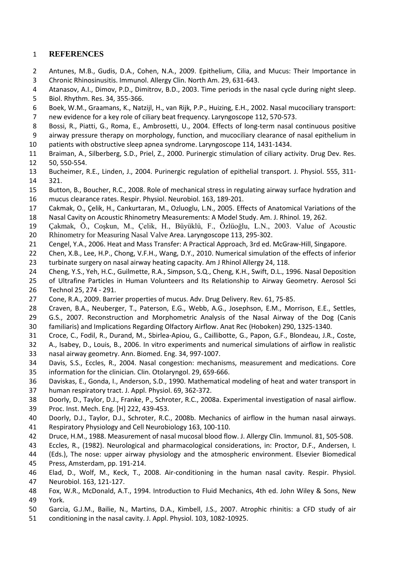## **REFERENCES**

- Antunes, M.B., Gudis, D.A., Cohen, N.A., 2009. Epithelium, Cilia, and Mucus: Their Importance in Chronic Rhinosinusitis. Immunol. Allergy Clin. North Am. 29, 631-643.
- Atanasov, A.I., Dimov, P.D., Dimitrov, B.D., 2003. Time periods in the nasal cycle during night sleep.
- Biol. Rhythm. Res. 34, 355-366.
- Boek, W.M., Graamans, K., Natzijl, H., van Rijk, P.P., Huizing, E.H., 2002. Nasal mucociliary transport: new evidence for a key role of ciliary beat frequency. Laryngoscope 112, 570-573.
- Bossi, R., Piatti, G., Roma, E., Ambrosetti, U., 2004. Effects of long-term nasal continuous positive
- airway pressure therapy on morphology, function, and mucociliary clearance of nasal epithelium in
- patients with obstructive sleep apnea syndrome. Laryngoscope 114, 1431-1434.
- Braiman, A., Silberberg, S.D., Priel, Z., 2000. Purinergic stimulation of ciliary activity. Drug Dev. Res. 50, 550-554.
- Bucheimer, R.E., Linden, J., 2004. Purinergic regulation of epithelial transport. J. Physiol. 555, 311- 321.
- Button, B., Boucher, R.C., 2008. Role of mechanical stress in regulating airway surface hydration and mucus clearance rates. Respir. Physiol. Neurobiol. 163, 189-201.
- Cakmak, O., Çelik, H., Cankurtaran, M., Ozluoglu, L.N., 2005. Effects of Anatomical Variations of the
- Nasal Cavity on Acoustic Rhinometry Measurements: A Model Study. Am. J. Rhinol. 19, 262.
- Çakmak, Ö., Coşkun, M., Çelik, H., Büyüklü, F., Özlüoğlu, L.N., 2003. Value of Acoustic
- Rhinometry for Measuring Nasal Valve Area. Laryngoscope 113, 295-302.
- Cengel, Y.A., 2006. Heat and Mass Transfer: A Practical Approach, 3rd ed. McGraw-Hill, Singapore.
- Chen, X.B., Lee, H.P., Chong, V.F.H., Wang, D.Y., 2010. Numerical simulation of the effects of inferior turbinate surgery on nasal airway heating capacity. Am J Rhinol Allergy 24, 118.
- Cheng, Y.S., Yeh, H.C., Guilmette, R.A., Simpson, S.Q., Cheng, K.H., Swift, D.L., 1996. Nasal Deposition
- of Ultrafine Particles in Human Volunteers and Its Relationship to Airway Geometry. Aerosol Sci Technol 25, 274 - 291.
- Cone, R.A., 2009. Barrier properties of mucus. Adv. Drug Delivery. Rev. 61, 75-85.
- Craven, B.A., Neuberger, T., Paterson, E.G., Webb, A.G., Josephson, E.M., Morrison, E.E., Settles,
- G.S., 2007. Reconstruction and Morphometric Analysis of the Nasal Airway of the Dog (Canis
- familiaris) and Implications Regarding Olfactory Airflow. Anat Rec (Hoboken) 290, 1325-1340.
- Croce, C., Fodil, R., Durand, M., Sbirlea-Apiou, G., Caillibotte, G., Papon, G.F., Blondeau, J.R., Coste,
- A., Isabey, D., Louis, B., 2006. In vitro experiments and numerical simulations of airflow in realistic nasal airway geometry. Ann. Biomed. Eng. 34, 997-1007.
- Davis, S.S., Eccles, R., 2004. Nasal congestion: mechanisms, measurement and medications. Core information for the clinician. Clin. Otolaryngol. 29, 659-666.
- Daviskas, E., Gonda, I., Anderson, S.D., 1990. Mathematical modeling of heat and water transport in
- human respiratory tract. J. Appl. Physiol. 69, 362-372.
- Doorly, D., Taylor, D.J., Franke, P., Schroter, R.C., 2008a. Experimental investigation of nasal airflow.
- Proc. Inst. Mech. Eng. [H] 222, 439-453.
- Doorly, D.J., Taylor, D.J., Schroter, R.C., 2008b. Mechanics of airflow in the human nasal airways. Respiratory Physiology and Cell Neurobiology 163, 100-110.
- Druce, H.M., 1988. Measurement of nasal mucosal blood flow. J. Allergy Clin. Immunol. 81, 505-508.
- Eccles, R., (1982). Neurological and pharmacological considerations, in: Proctor, D.F., Andersen, I.
- (Eds.), The nose: upper airway physiology and the atmospheric environment. Elsevier Biomedical Press, Amsterdam, pp. 191-214.
- Elad, D., Wolf, M., Keck, T., 2008. Air-conditioning in the human nasal cavity. Respir. Physiol. Neurobiol. 163, 121-127.
- Fox, W.R., McDonald, A.T., 1994. Introduction to Fluid Mechanics, 4th ed. John Wiley & Sons, New York.
- Garcia, G.J.M., Bailie, N., Martins, D.A., Kimbell, J.S., 2007. Atrophic rhinitis: a CFD study of air
- conditioning in the nasal cavity. J. Appl. Physiol. 103, 1082-10925.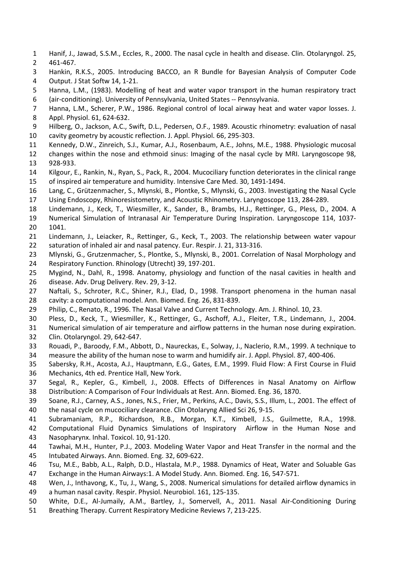- Hanif, J., Jawad, S.S.M., Eccles, R., 2000. The nasal cycle in health and disease. Clin. Otolaryngol. 25, 461-467.
- Hankin, R.K.S., 2005. Introducing BACCO, an R Bundle for Bayesian Analysis of Computer Code Output. J Stat Softw 14, 1-21.
- Hanna, L.M., (1983). Modelling of heat and water vapor transport in the human respiratory tract (air-conditioning). University of Pennsylvania, United States -- Pennsylvania.
- Hanna, L.M., Scherer, P.W., 1986. Regional control of local airway heat and water vapor losses. J.
- Appl. Physiol. 61, 624-632.
- Hilberg, O., Jackson, A.C., Swift, D.L., Pedersen, O.F., 1989. Acoustic rhinometry: evaluation of nasal cavity geometry by acoustic reflection. J. Appl. Physiol. 66, 295-303.
- Kennedy, D.W., Zinreich, S.J., Kumar, A.J., Rosenbaum, A.E., Johns, M.E., 1988. Physiologic mucosal
- changes within the nose and ethmoid sinus: Imaging of the nasal cycle by MRI. Laryngoscope 98, 928-933.
- Kilgour, E., Rankin, N., Ryan, S., Pack, R., 2004. Mucociliary function deteriorates in the clinical range of inspired air temperature and humidity. Intensive Care Med. 30, 1491-1494.
- Lang, C., Grützenmacher, S., Mlynski, B., Plontke, S., Mlynski, G., 2003. Investigating the Nasal Cycle
- Using Endoscopy, Rhinoresistometry, and Acoustic Rhinometry. Laryngoscope 113, 284-289.
- Lindemann, J., Keck, T., Wiesmiller, K., Sander, B., Brambs, H.J., Rettinger, G., Pless, D., 2004. A
- Numerical Simulation of Intranasal Air Temperature During Inspiration. Laryngoscope 114, 1037- 1041.
- Lindemann, J., Leiacker, R., Rettinger, G., Keck, T., 2003. The relationship between water vapour
- saturation of inhaled air and nasal patency. Eur. Respir. J. 21, 313-316.
- Mlynski, G., Grutzenmacher, S., Plontke, S., Mlynski, B., 2001. Correlation of Nasal Morphology and Respiratory Function. Rhinology (Utrecht) 39, 197-201.
- Mygind, N., Dahl, R., 1998. Anatomy, physiology and function of the nasal cavities in health and disease. Adv. Drug Delivery. Rev. 29, 3-12.
- Naftali, S., Schroter, R.C., Shiner, R.J., Elad, D., 1998. Transport phenomena in the human nasal cavity: a computational model. Ann. Biomed. Eng. 26, 831-839.
- Philip, C., Renato, R., 1996. The Nasal Valve and Current Technology. Am. J. Rhinol. 10, 23.
- Pless, D., Keck, T., Wiesmiller, K., Rettinger, G., Aschoff, A.J., Fleiter, T.R., Lindemann, J., 2004.
- Numerical simulation of air temperature and airflow patterns in the human nose during expiration.
- Clin. Otolaryngol. 29, 642-647.
- Rouadi, P., Baroody, F.M., Abbott, D., Naureckas, E., Solway, J., Naclerio, R.M., 1999. A technique to measure the ability of the human nose to warm and humidify air. J. Appl. Physiol. 87, 400-406.
- Sabersky, R.H., Acosta, A.J., Hauptmann, E.G., Gates, E.M., 1999. Fluid Flow: A First Course in Fluid Mechanics, 4th ed. Prentice Hall, New York.
- Segal, R., Kepler, G., Kimbell, J., 2008. Effects of Differences in Nasal Anatomy on Airflow Distribution: A Comparison of Four Individuals at Rest. Ann. Biomed. Eng. 36, 1870.
- Soane, R.J., Carney, A.S., Jones, N.S., Frier, M., Perkins, A.C., Davis, S.S., Illum, L., 2001. The effect of
- the nasal cycle on mucociliary clearance. Clin Otolaryng Allied Sci 26, 9-15.
- Subramaniam, R.P., Richardson, R.B., Morgan, K.T., Kimbell, J.S., Guilmette, R.A., 1998.
- Computational Fluid Dynamics Simulations of Inspiratory Airflow in the Human Nose and
- Nasopharynx. Inhal. Toxicol. 10, 91-120.
- Tawhai, M.H., Hunter, P.J., 2003. Modeling Water Vapor and Heat Transfer in the normal and the Intubated Airways. Ann. Biomed. Eng. 32, 609-622.
- Tsu, M.E., Babb, A.L., Ralph, D.D., Hlastala, M.P., 1988. Dynamics of Heat, Water and Soluable Gas
- Exchange in the Human Airways:1. A Model Study. Ann. Biomed. Eng. 16, 547-571.
- Wen, J., Inthavong, K., Tu, J., Wang, S., 2008. Numerical simulations for detailed airflow dynamics in
- a human nasal cavity. Respir. Physiol. Neurobiol. 161, 125-135.
- White, D.E., Al-Jumaily, A.M., Bartley, J., Somervell, A., 2011. Nasal Air-Conditioning During
- Breathing Therapy. Current Respiratory Medicine Reviews 7, 213-225.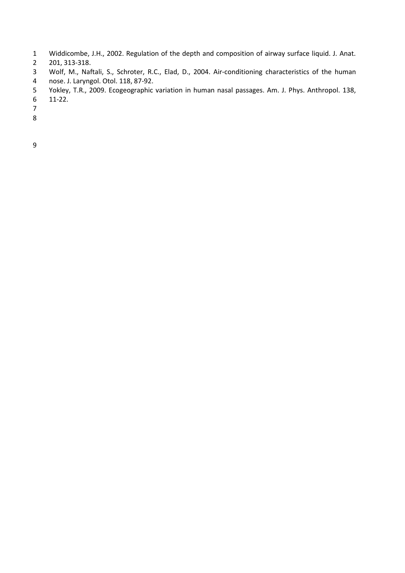- Widdicombe, J.H., 2002. Regulation of the depth and composition of airway surface liquid. J. Anat.
- 201, 313-318.
- Wolf, M., Naftali, S., Schroter, R.C., Elad, D., 2004. Air-conditioning characteristics of the human
- nose. J. Laryngol. Otol. 118, 87-92.
- Yokley, T.R., 2009. Ecogeographic variation in human nasal passages. Am. J. Phys. Anthropol. 138,
- 11-22.
- 
- 
-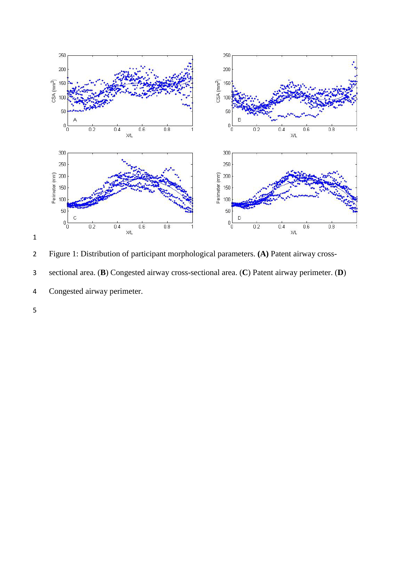

Figure 1: Distribution of participant morphological parameters. **(A)** Patent airway cross-



Congested airway perimeter.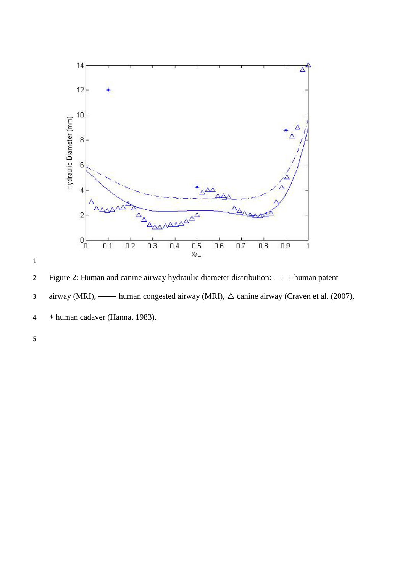



2 Figure 2: Human and canine airway hydraulic diameter distribution:  $-\cdot$  - human patent

- 3 airway (MRI),  $\longrightarrow$  human congested airway (MRI),  $\triangle$  canine airway (Craven et al. (2007),
- 4 ∗ human cadaver (Hanna, 1983).